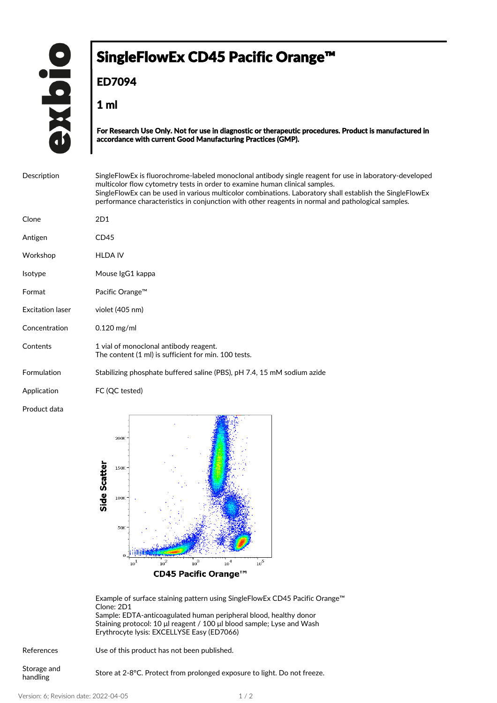## SingleFlowEx CD45 Pacific Orange<sup>™</sup>

**ED7094**

**1 ml**

**For Research Use Only. Not for use in diagnostic or therapeutic procedures. Product is manufactured in accordance with current Good Manufacturing Practices (GMP).**

| Description             | Single Flow Ex is fluorochrome-labeled monoclonal antibody single reagent for use in laboratory-developed<br>multicolor flow cytometry tests in order to examine human clinical samples.<br>SingleFlowEx can be used in various multicolor combinations. Laboratory shall establish the SingleFlowEx<br>performance characteristics in conjunction with other reagents in normal and pathological samples. |
|-------------------------|------------------------------------------------------------------------------------------------------------------------------------------------------------------------------------------------------------------------------------------------------------------------------------------------------------------------------------------------------------------------------------------------------------|
| Clone                   | 2D1                                                                                                                                                                                                                                                                                                                                                                                                        |
| Antigen                 | CD45                                                                                                                                                                                                                                                                                                                                                                                                       |
| Workshop                | <b>HLDA IV</b>                                                                                                                                                                                                                                                                                                                                                                                             |
| Isotype                 | Mouse IgG1 kappa                                                                                                                                                                                                                                                                                                                                                                                           |
| Format                  | Pacific Orange™                                                                                                                                                                                                                                                                                                                                                                                            |
| <b>Excitation laser</b> | violet (405 nm)                                                                                                                                                                                                                                                                                                                                                                                            |
| Concentration           | $0.120$ mg/ml                                                                                                                                                                                                                                                                                                                                                                                              |
| Contents                | 1 vial of monoclonal antibody reagent.<br>The content (1 ml) is sufficient for min. 100 tests.                                                                                                                                                                                                                                                                                                             |
| Formulation             | Stabilizing phosphate buffered saline (PBS), pH 7.4, 15 mM sodium azide                                                                                                                                                                                                                                                                                                                                    |
| Application             | FC (QC tested)                                                                                                                                                                                                                                                                                                                                                                                             |
| Product data            |                                                                                                                                                                                                                                                                                                                                                                                                            |



Example of surface staining pattern using SingleFlowEx CD45 Pacific Orange™ Clone: 2D1 Sample: EDTA-anticoagulated human peripheral blood, healthy donor Staining protocol: 10 μl reagent / 100 μl blood sample; Lyse and Wash

| Staining protocol: 10 µ reagent / 100 µ blood sample; Lyse and Wash |  |
|---------------------------------------------------------------------|--|
| Ervthrocyte Ivsis: EXCELLYSE Easy (ED7066)                          |  |
|                                                                     |  |

| References              | Use of this product has not been published.                               |
|-------------------------|---------------------------------------------------------------------------|
| Storage and<br>handling | Store at 2-8 °C. Protect from prolonged exposure to light. Do not freeze. |